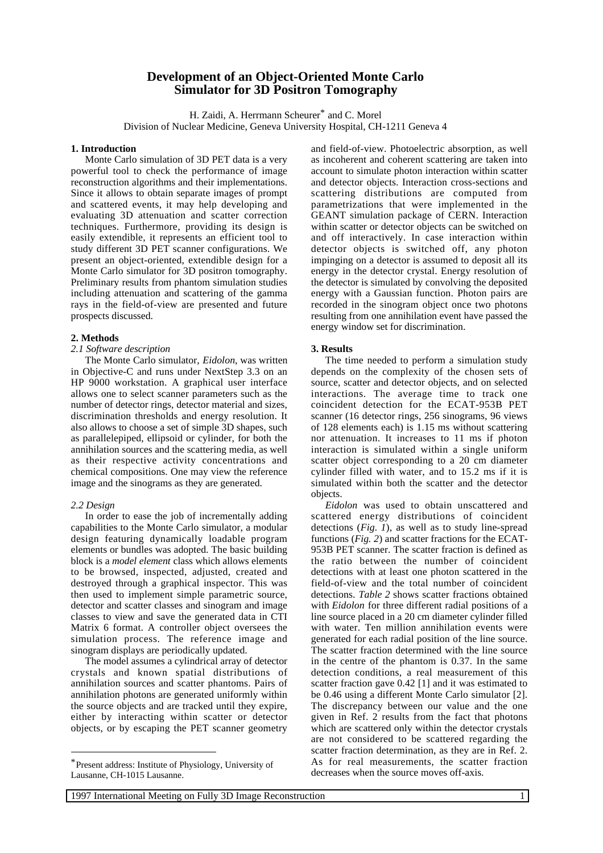# **Development of an Object-Oriented Monte Carlo Simulator for 3D Positron Tomography**

H. Zaidi, A. Herrmann Scheurer<sup>\*</sup> and C. Morel Division of Nuclear Medicine, Geneva University Hospital, CH-1211 Geneva 4

# **1. Introduction**

Monte Carlo simulation of 3D PET data is a very powerful tool to check the performance of image reconstruction algorithms and their implementations. Since it allows to obtain separate images of prompt and scattered events, it may help developing and evaluating 3D attenuation and scatter correction techniques. Furthermore, providing its design is easily extendible, it represents an efficient tool to study different 3D PET scanner configurations. We present an object-oriented, extendible design for a Monte Carlo simulator for 3D positron tomography. Preliminary results from phantom simulation studies including attenuation and scattering of the gamma rays in the field-of-view are presented and future prospects discussed.

### **2. Methods**

## *2.1 Software description*

The Monte Carlo simulator, *Eidolon*, was written in Objective-C and runs under NextStep 3.3 on an HP 9000 workstation. A graphical user interface allows one to select scanner parameters such as the number of detector rings, detector material and sizes, discrimination thresholds and energy resolution. It also allows to choose a set of simple 3D shapes, such as parallelepiped, ellipsoid or cylinder, for both the annihilation sources and the scattering media, as well as their respective activity concentrations and chemical compositions. One may view the reference image and the sinograms as they are generated.

#### *2.2 Design*

In order to ease the job of incrementally adding capabilities to the Monte Carlo simulator, a modular design featuring dynamically loadable program elements or bundles was adopted. The basic building block is a *model element* class which allows elements to be browsed, inspected, adjusted, created and destroyed through a graphical inspector. This was then used to implement simple parametric source, detector and scatter classes and sinogram and image classes to view and save the generated data in CTI Matrix 6 format. A controller object oversees the simulation process. The reference image and sinogram displays are periodically updated.

The model assumes a cylindrical array of detector crystals and known spatial distributions of annihilation sources and scatter phantoms. Pairs of annihilation photons are generated uniformly within the source objects and are tracked until they expire, either by interacting within scatter or detector objects, or by escaping the PET scanner geometry

and field-of-view. Photoelectric absorption, as well as incoherent and coherent scattering are taken into account to simulate photon interaction within scatter and detector objects. Interaction cross-sections and scattering distributions are computed from parametrizations that were implemented in the GEANT simulation package of CERN. Interaction within scatter or detector objects can be switched on and off interactively. In case interaction within detector objects is switched off, any photon impinging on a detector is assumed to deposit all its energy in the detector crystal. Energy resolution of the detector is simulated by convolving the deposited energy with a Gaussian function. Photon pairs are recorded in the sinogram object once two photons resulting from one annihilation event have passed the energy window set for discrimination.

#### **3. Results**

The time needed to perform a simulation study depends on the complexity of the chosen sets of source, scatter and detector objects, and on selected interactions. The average time to track one coincident detection for the ECAT-953B PET scanner (16 detector rings, 256 sinograms, 96 views of 128 elements each) is 1.15 ms without scattering nor attenuation. It increases to 11 ms if photon interaction is simulated within a single uniform scatter object corresponding to a 20 cm diameter cylinder filled with water, and to 15.2 ms if it is simulated within both the scatter and the detector objects.

*Eidolon* was used to obtain unscattered and scattered energy distributions of coincident detections (*Fig. 1*), as well as to study line-spread functions (*Fig. 2*) and scatter fractions for the ECAT-953B PET scanner. The scatter fraction is defined as the ratio between the number of coincident detections with at least one photon scattered in the field-of-view and the total number of coincident detections. *Table 2* shows scatter fractions obtained with *Eidolon* for three different radial positions of a line source placed in a 20 cm diameter cylinder filled with water. Ten million annihilation events were generated for each radial position of the line source. The scatter fraction determined with the line source in the centre of the phantom is 0.37. In the same detection conditions, a real measurement of this scatter fraction gave 0.42 [1] and it was estimated to be 0.46 using a different Monte Carlo simulator [2]. The discrepancy between our value and the one given in Ref. 2 results from the fact that photons which are scattered only within the detector crystals are not considered to be scattered regarding the scatter fraction determination, as they are in Ref. 2. As for real measurements, the scatter fraction decreases when the source moves off-axis.

<sup>\*</sup>Present address: Institute of Physiology, University of Lausanne, CH-1015 Lausanne.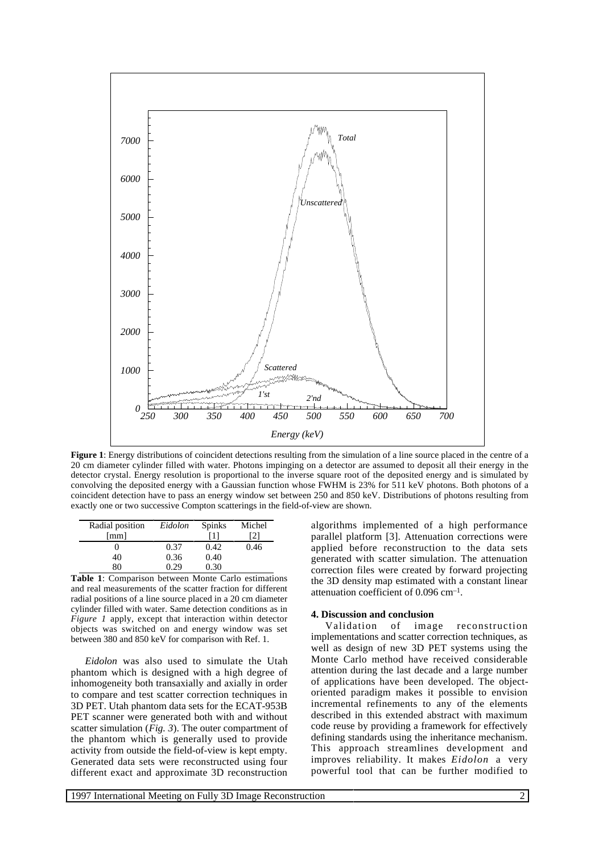

**Figure 1**: Energy distributions of coincident detections resulting from the simulation of a line source placed in the centre of a 20 cm diameter cylinder filled with water. Photons impinging on a detector are assumed to deposit all their energy in the detector crystal. Energy resolution is proportional to the inverse square root of the deposited energy and is simulated by convolving the deposited energy with a Gaussian function whose FWHM is 23% for 511 keV photons. Both photons of a coincident detection have to pass an energy window set between 250 and 850 keV. Distributions of photons resulting from exactly one or two successive Compton scatterings in the field-of-view are shown.

| Radial position      | Eidolon | Spinks | Michel |
|----------------------|---------|--------|--------|
| $\lceil$ mm $\rceil$ |         | [1]    | 21     |
|                      | 0.37    | 0.42   | 0.46   |
| 40                   | 0.36    | 0.40   |        |
| 80                   | በ 29    | 0.30   |        |

**Table 1**: Comparison between Monte Carlo estimations and real measurements of the scatter fraction for different radial positions of a line source placed in a 20 cm diameter cylinder filled with water. Same detection conditions as in *Figure 1* apply, except that interaction within detector objects was switched on and energy window was set between 380 and 850 keV for comparison with Ref. 1.

*Eidolon* was also used to simulate the Utah phantom which is designed with a high degree of inhomogeneity both transaxially and axially in order to compare and test scatter correction techniques in 3D PET. Utah phantom data sets for the ECAT-953B PET scanner were generated both with and without scatter simulation (*Fig. 3*). The outer compartment of the phantom which is generally used to provide activity from outside the field-of-view is kept empty. Generated data sets were reconstructed using four different exact and approximate 3D reconstruction

algorithms implemented of a high performance parallel platform [3]. Attenuation corrections were applied before reconstruction to the data sets generated with scatter simulation. The attenuation correction files were created by forward projecting the 3D density map estimated with a constant linear attenuation coefficient of 0.096 cm–1.

# **4. Discussion and conclusion**

Validation of image reconstruction implementations and scatter correction techniques, as well as design of new 3D PET systems using the Monte Carlo method have received considerable attention during the last decade and a large number of applications have been developed. The objectoriented paradigm makes it possible to envision incremental refinements to any of the elements described in this extended abstract with maximum code reuse by providing a framework for effectively defining standards using the inheritance mechanism. This approach streamlines development and improves reliability. It makes *Eidolon* a very powerful tool that can be further modified to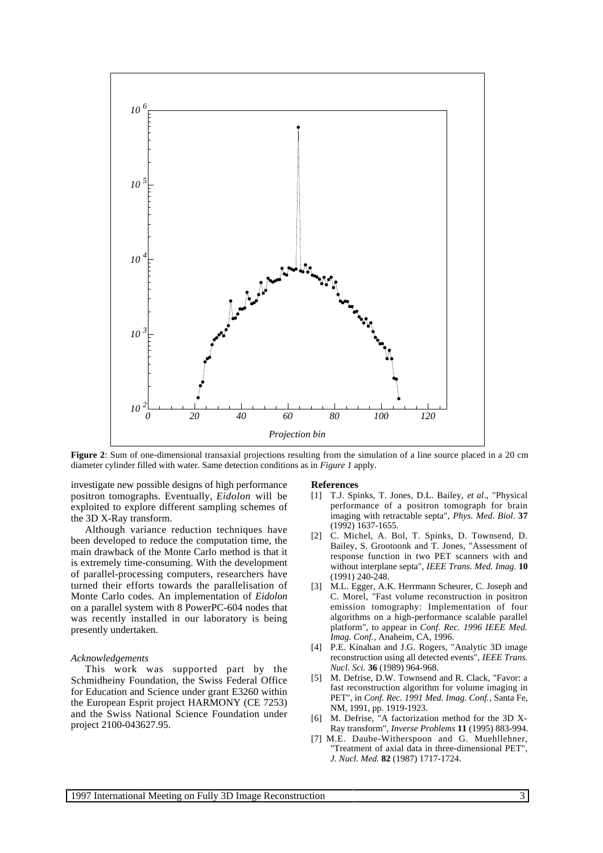

**Figure 2:** Sum of one-dimensional transaxial projections resulting from the simulation of a line source placed in a 20 cm diameter cylinder filled with water. Same detection conditions as in *Figure 1* apply.

investigate new possible designs of high performance positron tomographs. Eventually, *Eidolon* will be exploited to explore different sampling schemes of the 3D X-Ray transform.

Although variance reduction techniques have been developed to reduce the computation time, the main drawback of the Monte Carlo method is that it is extremely time-consuming. With the development of parallel-processing computers, researchers have turned their efforts towards the parallelisation of Monte Carlo codes. An implementation of *Eidolon* on a parallel system with 8 PowerPC-604 nodes that was recently installed in our laboratory is being presently undertaken.

## *Acknowledgements*

This work was supported part by the Schmidheiny Foundation, the Swiss Federal Office for Education and Science under grant E3260 within the European Esprit project HARMONY (CE 7253) and the Swiss National Science Foundation under project 2100-043627.95.

#### **References**

- [1] T.J. Spinks, T. Jones, D.L. Bailey, *et al*., "Physical performance of a positron tomograph for brain imaging with retractable septa", *Phys. Med. Biol.* **37** (1992) 1637-1655.
- [2] C. Michel, A. Bol, T. Spinks, D. Townsend, D. Bailey, S. Grootoonk and T. Jones, "Assessment of response function in two PET scanners with and without interplane septa", *IEEE Trans. Med. Imag.* **10** (1991) 240-248.
- [3] M.L. Egger, A.K. Herrmann Scheurer, C. Joseph and C. Morel, "Fast volume reconstruction in positron emission tomography: Implementation of four algorithms on a high-performance scalable parallel platform", to appear in *Conf. Rec. 1996 IEEE Med. Imag. Conf.*, Anaheim, CA, 1996.
- [4] P.E. Kinahan and J.G. Rogers, "Analytic 3D image reconstruction using all detected events", *IEEE Trans. Nucl. Sci.* **36** (1989) 964-968.
- [5] M. Defrise, D.W. Townsend and R. Clack, "Favor: a fast reconstruction algorithm for volume imaging in PET", in *Conf. Rec. 1991 Med. Imag. Conf.*, Santa Fe, NM, 1991, pp. 1919-1923.
- M. Defrise, "A factorization method for the 3D X-Ray transform", *Inverse Problems* **11** (1995) 883-994.
- [7] M.E. Daube-Witherspoon and G. Muehllehner, "Treatment of axial data in three-dimensional PET", *J. Nucl. Med.* **82** (1987) 1717-1724.